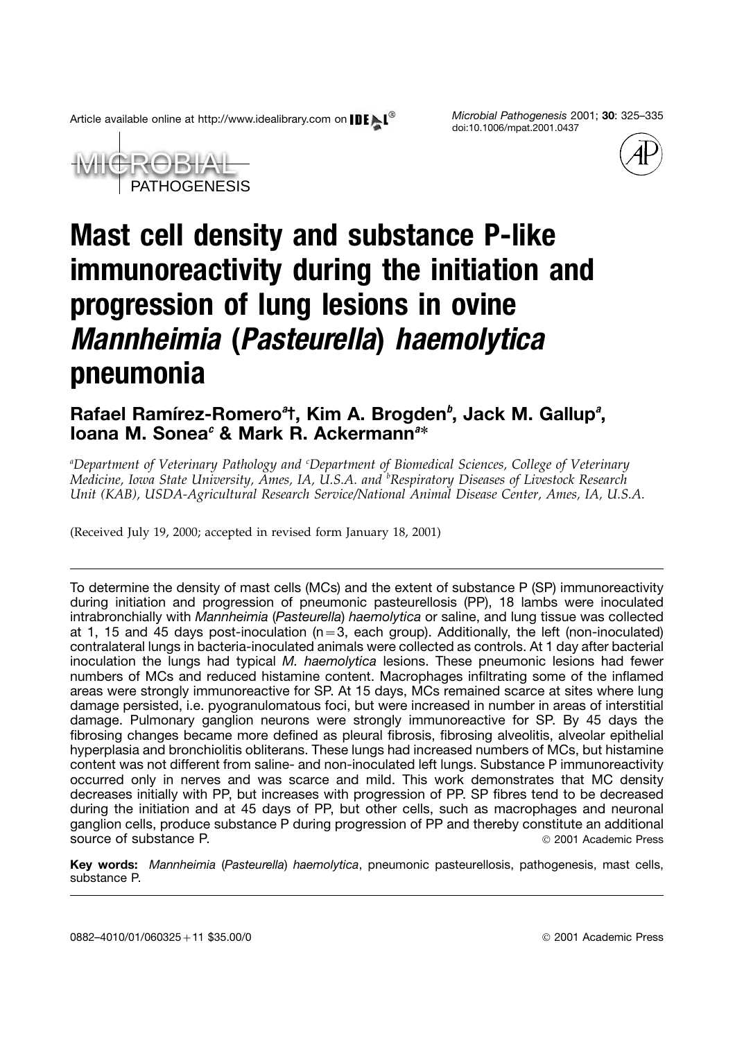Article available online at http://www.idealibrary.com on *Microbial Pathogenesis* 2001; **30**: 325–335

doi:10.1006/mpat.2001.0437





# **Mast cell density and substance P-like immunoreactivity during the initiation and progression of lung lesions in ovine** *Mannheimia* **(***Pasteurella***)** *haemolytica* **pneumonia**

## Rafael Ramírez-Romero<sup>a</sup>t, Kim A. Brogden<sup>b</sup>, Jack M. Gallup<sup>a</sup>, **Ioana M. Sonea***<sup>c</sup>* **& Mark R. Ackermann***<sup>a</sup>* ∗

*a Department of Veterinary Pathology and <sup>c</sup> Department of Biomedical Sciences, College of Veterinary Medicine, Iowa State University, Ames, IA, U.S.A. and <sup>b</sup> Respiratory Diseases of Livestock Research Unit (KAB), USDA-Agricultural Research Service/National Animal Disease Center, Ames, IA, U.S.A.*

(Received July 19, 2000; accepted in revised form January 18, 2001)

To determine the density of mast cells (MCs) and the extent of substance P (SP) immunoreactivity during initiation and progression of pneumonic pasteurellosis (PP), 18 lambs were inoculated intrabronchially with *Mannheimia* (*Pasteurella*) *haemolytica* or saline, and lung tissue was collected at 1, 15 and 45 days post-inoculation  $(n=3,$  each group). Additionally, the left (non-inoculated) contralateral lungs in bacteria-inoculated animals were collected as controls. At 1 day after bacterial inoculation the lungs had typical *M. haemolytica* lesions. These pneumonic lesions had fewer numbers of MCs and reduced histamine content. Macrophages infiltrating some of the inflamed areas were strongly immunoreactive for SP. At 15 days, MCs remained scarce at sites where lung damage persisted, i.e. pyogranulomatous foci, but were increased in number in areas of interstitial damage. Pulmonary ganglion neurons were strongly immunoreactive for SP. By 45 days the fibrosing changes became more defined as pleural fibrosis, fibrosing alveolitis, alveolar epithelial hyperplasia and bronchiolitis obliterans. These lungs had increased numbers of MCs, but histamine content was not different from saline- and non-inoculated left lungs. Substance P immunoreactivity occurred only in nerves and was scarce and mild. This work demonstrates that MC density decreases initially with PP, but increases with progression of PP. SP fibres tend to be decreased during the initiation and at 45 days of PP, but other cells, such as macrophages and neuronal ganglion cells, produce substance P during progression of PP and thereby constitute an additional source of substance P.  $\degree$  2001 Academic Press

**Key words:** *Mannheimia* (*Pasteurella*) *haemolytica*, pneumonic pasteurellosis, pathogenesis, mast cells, substance P.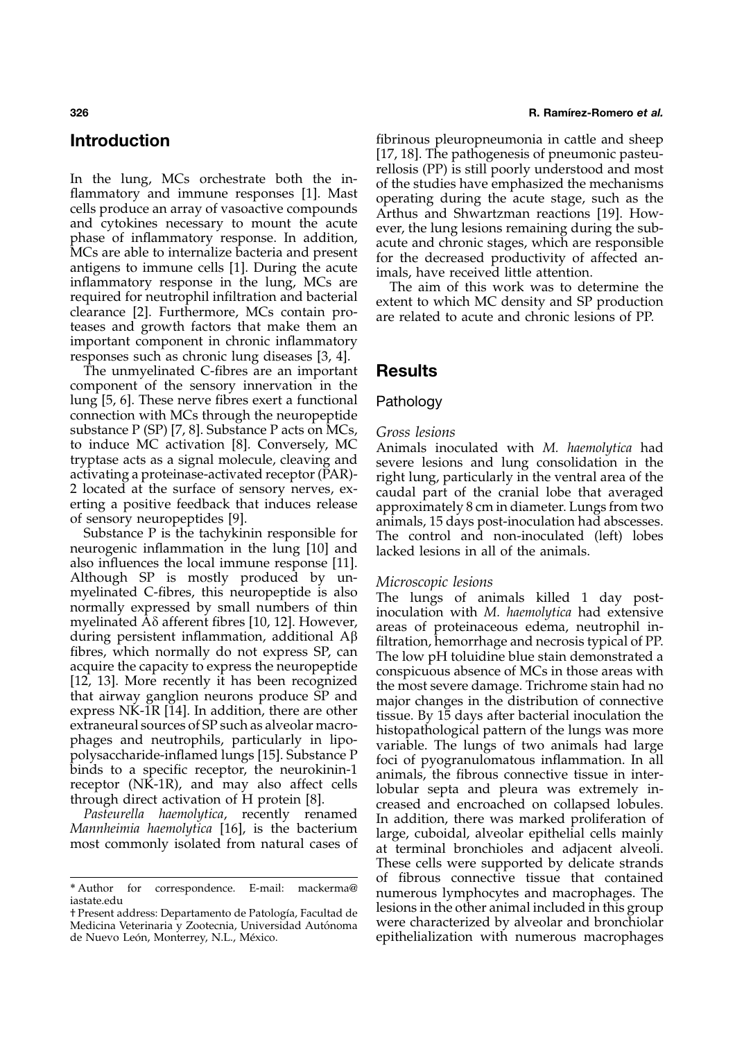In the lung, MCs orchestrate both the in-<br>
flammatory and immune responses [\[1\]](#page-9-0). Mast<br>
cells produce an array of vasoactive compounds<br>
and cytokines necessary to mount the acute<br>
and cytokines necessary to mount the acute<br> important component in chronic inflammatory responses such as chronic lung diseases [\[3,](#page-10-0) [4\]](#page-9-0).

The unmyelinated C-fibres are an important **Results** component of the sensory innervation in the lung [\[5, 6\]](#page-9-0). These nerve fibres exert a functional Pathology connection with MCs through the neuropeptide substance P (SP) [\[7, 8\]](#page-9-0). Substance P acts on MCs, *Gross lesions* to induce MC activation [8]. Conversely, MC Animals ino to induce MC activation [\[8\]](#page-9-0). Conversely, MC Animals inoculated with *M. haemolytica* had

also influences the local immune response [\[11\]](#page-9-0). Although SP is mostly produced by un-<br>myelinated C-fibres, this neuropeptide is also The lungs of animals killed 1 day post-<br>normally expressed by small numbers of thin inoculation with *M. haemolytica* had extensive<br>myel

### **326 R. Ramı´rez-Romero** *et al.*

**Introduction introduction fibrinous** pleuropneumonia in cattle and sheep [\[17, 18\]](#page-9-0). The pathogenesis of pneumonic pasteu-

tryptase acts as a signal molecule, cleaving and<br>activating a proteinase-activated receptor (PAR)-<br>2 located at the surface of sensory nerves, ex-<br>2 located at the surface of sensory nerves, ex-<br>erting a positive feedback

different unamination, admitional Apprensised and mecrosis typical of PP.<br>fibres, which normally do not express SP, can<br>acquire the capacity to express the neuropeptide<br>acquire the capacity to express the neuropeptide<br>flat These cells were supported by delicate strands \*Author for correspondence. E-mail: mackerma@ of fibrous connective tissue that contained<br>
\*Author for correspondence. E-mail: mackerma@ numerous lymphocytes and macrophages. The<br>
\*Present address: Departamento de Patologí

Medicina Veterinaria y Zootecnia, Universidad Autónoma de Nuevo León, Monterrey, N.L., México. epithelialization with numerous macrophages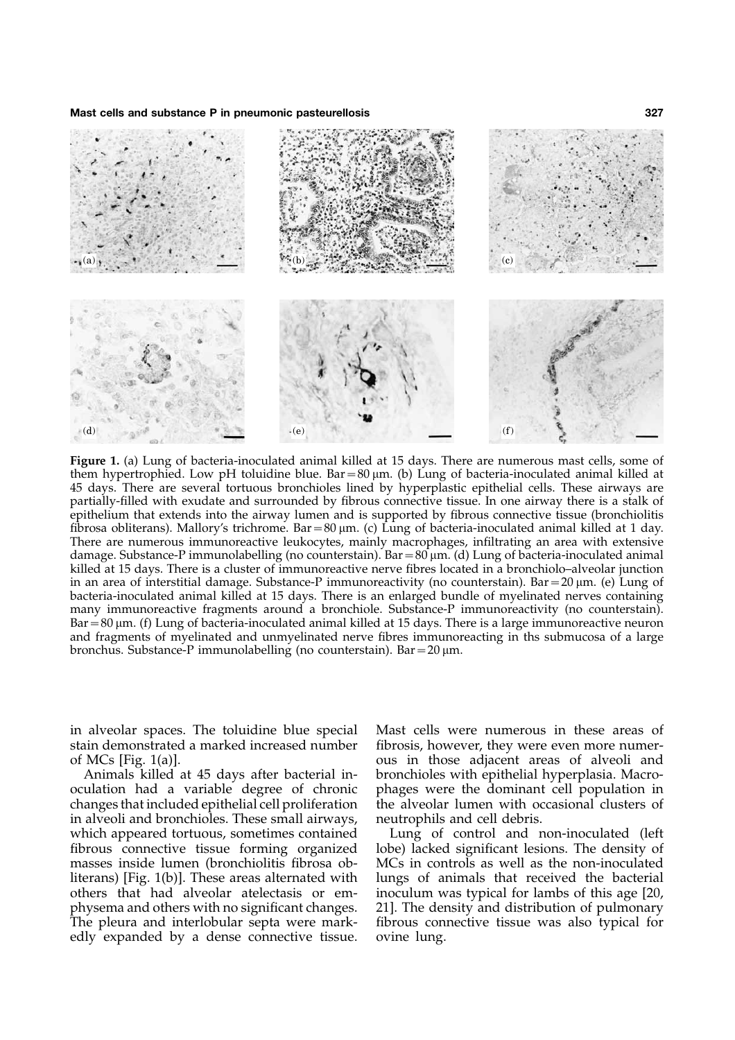

**Figure 1.** (a) Lung of bacteria-inoculated animal killed at 15 days. There are numerous mast cells, some of them hypertrophied. Low pH toluidine blue.  $Bar = 80 \mu m$ . (b) Lung of bacteria-inoculated animal killed at 45 days. There are several tortuous bronchioles lined by hyperplastic epithelial cells. These airways are partially-filled with exudate and surrounded by fibrous connective tissue. In one airway there is a stalk of epithelium that extends into the airway lumen and is supported by fibrous connective tissue (bronchiolitis fibrosa obliterans). Mallory's trichrome. Bar =  $80 \mu m$ . (c) Lung of bacteria-inoculated animal killed at 1 day. There are numerous immunoreactive leukocytes, mainly macrophages, infiltrating an area with extensive damage. Substance-P immunolabelling (no counterstain). Bar=80 m. (d) Lung of bacteria-inoculated animal killed at 15 days. There is a cluster of immunoreactive nerve fibres located in a bronchiolo–alveolar junction in an area of interstitial damage. Substance-P immunoreactivity (no counterstain). Bar =  $20 \mu m$ . (e) Lung of bacteria-inoculated animal killed at 15 days. There is an enlarged bundle of myelinated nerves containing many immunoreactive fragments around a bronchiole. Substance-P immunoreactivity (no counterstain). Bar = 80 µm. (f) Lung of bacteria-inoculated animal killed at 15 days. There is a large immunoreactive neuron and fragments of myelinated and unmyelinated nerve fibres immunoreacting in ths submucosa of a large bronchus. Substance-P immunolabelling (no counterstain). Bar =  $20 \mu m$ .

in alveolar spaces. The toluidine blue special Mast cells were numerous in these areas of

changes that included epithelial cell proliferation the alveolar lumen with occasion alveoli and bronchioles. These small airways, neutrophils and cell debris. in alveoli and bronchioles. These small airways, which appeared tortuous, sometimes contained Lung of control and non-inoculated (left fibrous connective tissue forming organized lobe) lacked significant lesions. The density of masses inside lumen (bronchiolitis fibrosa obliterans) [Fig. 1(b)]. These areas alternated with lungs of animals that received the bacterial others that had alveolar atelectasis or em- inoculum was typical for lambs of this age [\[20,](#page-9-0) physema and others with no significant changes. [21](#page-9-0)]. The density and distribution of pulmonary The pleura and interlobular septa were mark- fibrous connective tissue was also typical for edly expanded by a dense connective tissue. ovine lung.

stain demonstrated a marked increased number fibrosis, however, they were even more numerof MCs [Fig. 1(a)]. ous in those adjacent areas of alveoli and Animals killed at 45 days after bacterial in- bronchioles with epithelial hyperplasia. Macrooculation had a variable degree of chronic phages were the dominant cell population in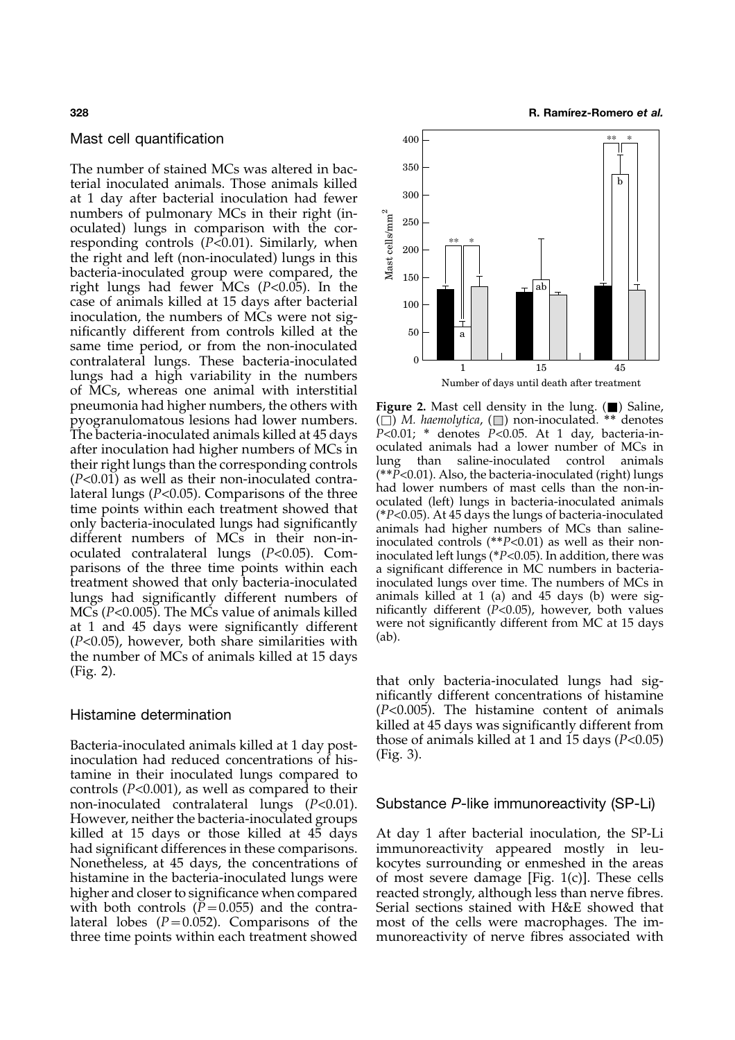### Mast cell quantification

The number of stained MCs was altered in bacterial inoculated animals. Those animals killed at 1 day after bacterial inoculation had fewer numbers of pulmonary MCs in their right (inoculated) lungs in comparison with the corresponding controls ( $P$ <0.01). Similarly, when the right and left (non-inoculated) lungs in this bacteria-inoculated group were compared, the right lungs had fewer MCs (*P*<0.05). In the case of animals killed at 15 days after bacterial inoculation, the numbers of MCs were not significantly different from controls killed at the same time period, or from the non-inoculated contralateral lungs. These bacteria-inoculated lungs had a high variability in the numbers of MCs, whereas one animal with interstitial pneumonia had higher numbers, the others with **Figure 2.** Mast cell density in the lung. (■) Saline, pyogranulomatous lesions had lower numbers. (□) *M. haemolytica*, (□) non-inoculated. \*\* denotes at 1 and 45 days were significantly different <sup>were</sup> (*P*<0.05), however, both share similarities with <sup>(ab).</sup> the number of MCs of animals killed at 15 days (Fig. 2). that only bacteria-inoculated lungs had sig-

Bacteria-inoculated animals killed at 1 day post-<br>inoculation had reduced concentrations of his-<br> $(Fig. 3)$ . tamine in their inoculated lungs compared to controls (*P*<0.001), as well as compared to their non-inoculated contralateral lungs (*P*<0.01). Substance *P*-like immunoreactivity (SP-Li) However, neither the bacteria-inoculated groups had significant differences in these comparisons. immunoreactivity appeared mostly in leu-



(□) *M. haemolytica*, (□) non-inoculated. <sup>∗∗</sup> denotes<br> $P<0.01$ ; \* denotes  $P<0.05$ . At 1 day, bacteria-in-The bacteria-inoculated animals killed at 45 days *P*<0.01; <sup>∗</sup> denotes *P*<0.05. At 1 day, bacteria-in-<br>after inoculation had higher numbers of MCs in soculated animals had a lower number of MCs in after inoculation had higher numbers of MCs in coulated animals had a lower number of MCs in<br>thoir right lungs than the corresponding controls lung than saline-inoculated control animals their right lungs than the corresponding controls<br>( $P<0.01$ ) as well as their non-inoculated contra-<br>lateral lungs ( $P<0.05$ ). Comparisons of the three<br>time points within each treatment showed that<br>only bacteria-inoculate parisons of the three time points within each a significant difference in MC numbers in bacteriatreatment showed that only bacteria-inoculated inoculated lungs over time. The numbers of MCs in lungs had significantly different numbers of animals killed at 1 (a) and 45 days (b) were sig-<br>MCs ( $P < 0.005$ ). The MCs value of animals killed nificantly different ( $P < 0.05$ ), however, both values MCs (*P*<0.005). The MCs value of animals killed nificantly different (*P*<0.05), however, both values at 1 and 45 days were significantly different were not significantly different from MC at 15 days

nificantly different concentrations of histamine Histamine determination (*P*<0.005). The histamine content of animals killed at 45 days was significantly different from

killed at 15 days or those killed at 45 days At day 1 after bacterial inoculation, the SP-Li Nonetheless, at 45 days, the concentrations of kocytes surrounding or enmeshed in the areas histamine in the bacteria-inoculated lungs were of most severe damage [Fig. 1(c)]. These cells higher and closer to significance when compared reacted strongly, although less than nerve fibres. with both controls  $(P=0.055)$  and the contra- Serial sections stained with H&E showed that lateral lobes  $(P=0.052)$ . Comparisons of the most of the cells were macrophages. The imthree time points within each treatment showed munoreactivity of nerve fibres associated with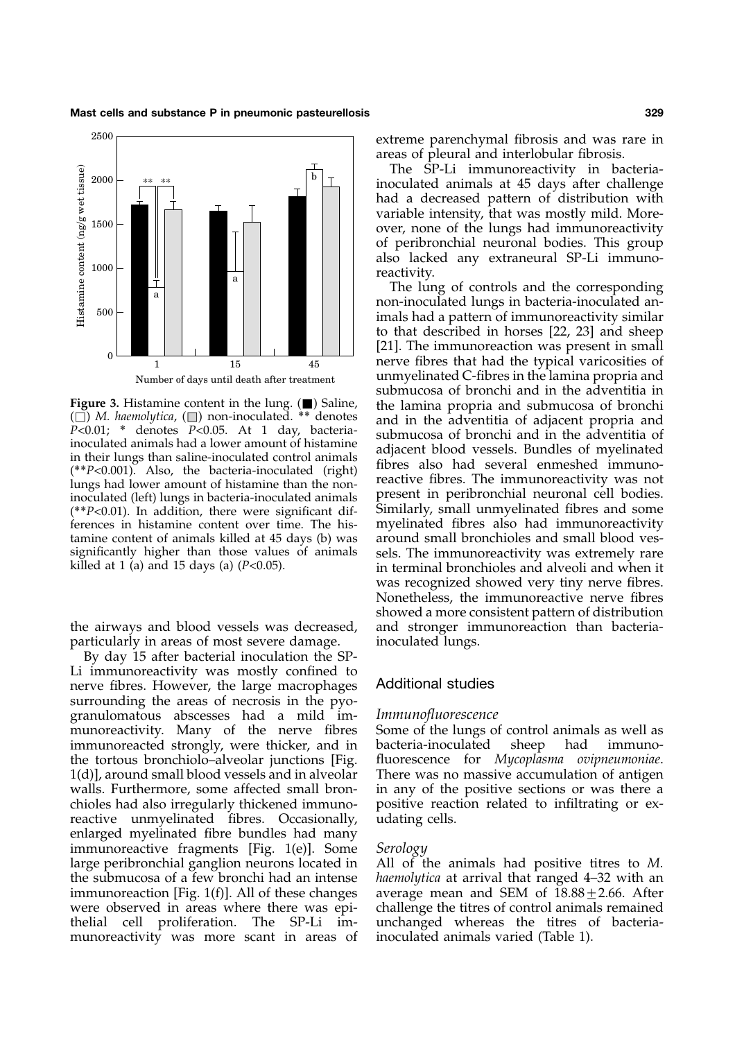**Mast cells and substance P in pneumonic pasteurellosis 329**



Figure 3. Histamine content in the lung. ( $\blacksquare$ ) Saline,<br>  $P<0.01$ ; \* denotes  $P<0.05$ . At 1 day, bacteria-<br>
inculated animals had a lower amount of histamine<br>
in their lungs than saline-inoculated control animals<br>
(\*\* inoculated (left) lungs in bacteria-inoculated animals<br>(*\*\*P*<0.01). In addition, there were significant dif-<br>finilarly, small unmyelinated fibres and some<br>ferences in histamine content over time. The his-<br>myelinated fibre ferences in histamine content over time. The histamine content of animals killed at 45 days (b) was around small bronchioles and small blood ves-<br>significantly higher than those values of animals sels. The immunore activity was extremely rare

particularly in areas of most severe damage. inoculated lungs.

By day 15 after bacterial inoculation the SP-Li immunoreactivity was mostly confined to nerve fibres. However, the large macrophages Additional studies surrounding the areas of necrosis in the pyogranulomatous abscesses had a mild im- *Immunofluorescence* munoreactivity. Many of the nerve fibres Some of the lungs of control animals as well as immunoreacted strongly, were thicker, and in bacteria-inoculated sheep had immunothe tortous bronchiolo–alveolar junctions [Fig. fluorescence for *Mycoplasma ovipneumoniae*. 1(d)], around small blood vessels and in alveolar There was no massive accumulation of antigen walls. Furthermore, some affected small bron- in any of the positive sections or was there a chioles had also irregularly thickened immuno- positive reaction related to infiltrating or exreactive unmyelinated fibres. Occasionally, udating cells. enlarged myelinated fibre bundles had many immunoreactive fragments [Fig. 1(e)]. Some *Serology* large peribronchial ganglion neurons located in All of the animals had positive titres to *M.* the submucosa of a few bronchi had an intense *haemolytica* at arrival that ranged 4–32 with an immunoreaction [Fig. 1(f)]. All of these changes average mean and SEM of  $18.88 \pm 2.66$ . After were observed in areas where there was epi- challenge the titres of control animals remained thelial cell proliferation. The SP-Li im- unchanged whereas the titres of bacteriamunoreactivity was more scant in areas of inoculated animals varied (Table 1).

extreme parenchymal fibrosis and was rare in areas of pleural and interlobular fibrosis.

The SP-Li immunoreactivity in bacteriainoculated animals at 45 days after challenge had a decreased pattern of distribution with variable intensity, that was mostly mild. Moreover, none of the lungs had immunoreactivity of peribronchial neuronal bodies. This group also lacked any extraneural SP-Li immunoreactivity.

The lung of controls and the corresponding non-inoculated lungs in bacteria-inoculated animals had a pattern of immunoreactivity similar to that described in horses [\[22, 23\]](#page-10-0) and sheep [\[21\]](#page-9-0). The immunoreaction was present in small nerve fibres that had the typical varicosities of unmyelinated C-fibres in the lamina propria and submucosa of bronchi and in the adventitia in significantly higher than those values of animals sels. The immunoreactivity was extremely rare killed at 1 (a) and 15 days (a) (*P*<0.05). in terminal bronchioles and alveoli and when it was recognized showed very tiny nerve fibres. Nonetheless, the immunoreactive nerve fibres showed a more consistent pattern of distribution the airways and blood vessels was decreased, and stronger immunoreaction than bacteria-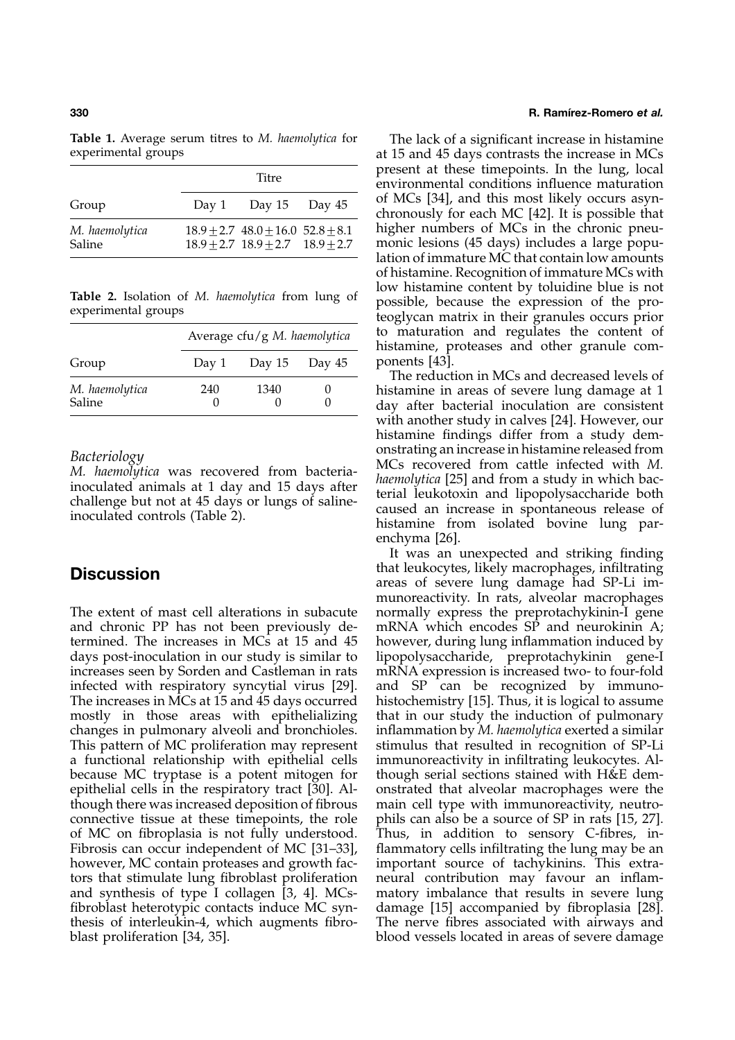|                          | Titre |                                                                                         |  |
|--------------------------|-------|-----------------------------------------------------------------------------------------|--|
| Group                    |       | Day 1 Day 15 Day $45$                                                                   |  |
| M. haemolytica<br>Saline |       | $18.9 \pm 2.7$ $48.0 \pm 16.0$ $52.8 \pm 8.1$<br>$18.9 + 2.7$ $18.9 + 2.7$ $18.9 + 2.7$ |  |

| Group                    | Average cfu/g M. haemolytica |                   |  |
|--------------------------|------------------------------|-------------------|--|
|                          | Day 1                        | Day $15$ Day $45$ |  |
| M. haemolytica<br>Saline | 240                          | 1340              |  |

The extent of mast cell alterations in subacute normally express the preprotachykinin-I gene and chronic PP has not been previously de- mRNA which encodes SP and neurokinin A; termined. The increases in MCs at 15 and 45 however, during lung inflammation induced by days post-inoculation in our study is similar to lipopolysaccharide, preprotachykinin gene-I increases seen by Sorden and Castleman in rats mRNA expression is increased two- to four-fold infected with respiratory syncytial virus [\[29\]](#page-10-0). and SP can be recognized by immuno-The increases in MCs at 15 and 45 days occurred histochemistry [\[15\]](#page-9-0). Thus, it is logical to assume mostly in those areas with epithelializing that in our study the induction of pulmonary changes in pulmonary alveoli and bronchioles. inflammation by *M. haemolytica* exerted a similar This pattern of MC proliferation may represent stimulus that resulted in recognition of SP-Li a functional relationship with epithelial cells immunoreactivity in infiltrating leukocytes. Albecause MC tryptase is a potent mitogen for though serial sections stained with H&E dembecause MC tryptase is a potent mitogen for epithelial cells in the respiratory tract [\[30\]](#page-10-0). Al-<br>though there was increased deposition of fibrous main cell type with immunore activity, neutroconnective tissue at these timepoints, the role of MC on fibroplasia is not fully understood. Thus, in addition to sensory C-fibres, in-Fibrosis can occur independent of MC [\[31–33\]](#page-10-0), flammatory cells infiltrating the lung may be an however, MC contain proteases and growth fac- important source of tachykinins. This extrators that stimulate lung fibroblast proliferation neural contribution may favour an inflamand synthesis of type I collagen [\[3, 4\]](#page-9-0). MCs- matory imbalance that results in severe lung fibroblast heterotypic contacts induce MC syn- damage [\[15](#page-9-0)] accompanied by fibroplasia [\[28\]](#page-10-0). thesis of interleukin-4, which augments fibro- The nerve fibres associated with airways and blast proliferation [\[34, 35\]](#page-10-0). blood vessels located in areas of severe damage

### **330 R. Ramı´rez-Romero** *et al.*

**Table 1.** Average serum titres to *M. haemolytica* for The lack of a significant increase in histamine experimental groups at 15 and 45 days contrasts the increase in MCs present at these timepoints. In the lung, local environmental conditions influence maturation of MCs [34], and this most likely occurs asyn-chronously for each MC [\[42\]](#page-10-0). It is possible that *higher numbers of MCs in the chronic pneu*monic lesions (45 days) includes a large population of immature MC that contain low amounts of histamine. Recognition of immature MCs with Table 2. Isolation of *M. haemolytica* from lung of low histamine content by toluidine blue is not possible, because the expression of the pro-<br>experimental groups teoglycan matrix in their granules occurs prior to maturation and regulates the content of histamine, proteases and other granule com-ponents [\[43\]](#page-10-0).

The reduction in MCs and decreased levels of *M. histamine in areas of severe lung damage at 1 day after bacterial inoculation are consistent* with another study in calves [\[24\]](#page-10-0). However, our histamine findings differ from a study dem-Bacteriology<br>
M. haemolytica was recovered from bacteria-<br>
inoculated animals at 1 day and 15 days after<br>
challenge but not at 45 days or lungs of saline-<br>
inoculated controls (Table 2).<br>
inoculated controls (Table 2).<br>
in enchyma [\[26\]](#page-10-0).

It was an unexpected and striking finding **Discussion**<br>**Discussion** areas of severe lung damage had SP-Li immunoreactivity. In rats, alveolar macrophages main cell type with immunoreactivity, neutro-<br>phils can also be a source of SP in rats [15, 27].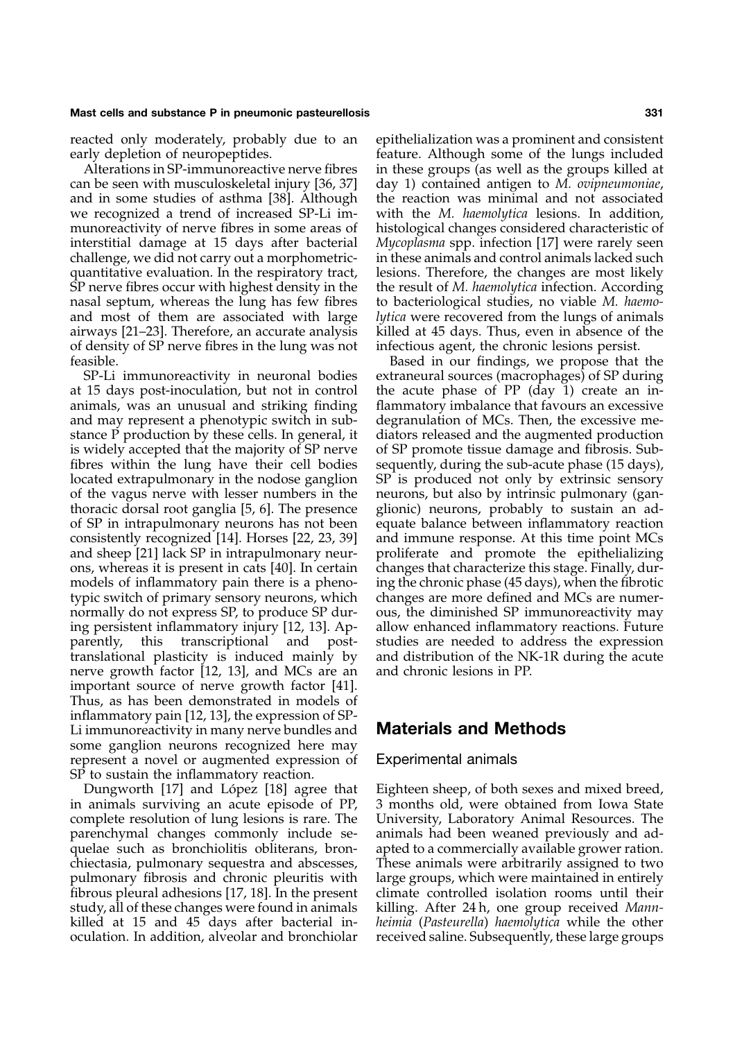can be seen with musculoskeletal injury [\[36, 37\]](#page-10-0) day 1) contained antigen to *M. ovipneumoniae*, and in some studies of asthma [\[38\]](#page-10-0). Although the reaction was minimal and not associated we recognized a trend of increased SP-Li im- with the *M. haemolytica* lesions. In addition, munoreactivity of nerve fibres in some areas of histological changes considered characteristic of interstitial damage at 15 days after bacterial *Mycoplasma* spp. infection [\[17\]](#page-9-0) were rarely seen challenge, we did not carry out a morphometric- in these animals and control animals lacked such quantitative evaluation. In the respiratory tract, lesions. Therefore, the changes are most likely nasal septum, whereas the lung has few fibres to bacteriological studies, no viable *M. haemo*and most of them are associated with large *lytica* were recovered from the lungs of animals airways [\[21](#page-9-0)[–23](#page-10-0)]. Therefore, an accurate analysis killed at 45 days. Thus, even in absence of the of density of SP nerve fibres in the lung was not infectious agent, the chronic lesions persist. feasible. Based in our findings, we propose that the

at 15 days post-inoculation, but not in control the acute phase of PP (day 1) create an inanimals, was an unusual and striking finding flammatory imbalance that favours an excessive and may represent a phenotypic switch in sub-<br>degranulation of MCs. Then, the excessive mestance P production by these cells. In general, it diators released and the augmented production is widely accepted that the majority of SP nerve of SP promote tissue damage and fibrosis. Subfibres within the lung have their cell bodies sequently, during the sub-acute phase (15 days), located extrapulmonary in the nodose ganglion SP is produced not only by extrinsic sensory located extrapulmonary in the nodose ganglion of the vagus nerve with lesser numbers in the neurons, but also by intrinsic pulmonary (ganthoracic dorsal root ganglia [\[5, 6\]](#page-9-0). The presence glionic) neurons, probably to sustain an adof SP in intrapulmonary neurons has not been equate balance between inflammatory reaction consistently recognized [14]. Horses [22, 23, 39] and immune response. At this time point MCs and sheep [\[21\]](#page-9-0) lack SP in intrapulmonary neur- proliferate and promote the epithelializing ons, whereas it is present in cats [\[40\]](#page-10-0). In certain changes that characterize this stage. Finally, durmodels of inflammatory pain there is a pheno- ing the chronic phase (45 days), when the fibrotic typic switch of primary sensory neurons, which changes are more defined and MCs are numernormally do not express SP, to produce SP dur- ous, the diminished SP immunoreactivity may ing persistent inflammatory injury [\[12, 13\]](#page-9-0). Ap- allow enhanced inflammatory reactions. Future parently, this transcriptional and post- studies are needed to address the expression translational plasticity is induced mainly by and distribution of the NK-1R during the acute nerve growth factor [\[12, 13\]](#page-9-0), and MCs are an and chronic lesions in PP. important source of nerve growth factor [\[41\]](#page-10-0). Thus, as has been demonstrated in models of inflammatory pain [\[12, 13\]](#page-9-0), the expression of SP-Li immunoreactivity in many nerve bundles and **Materials and Methods** some ganglion neurons recognized here may represent a novel or augmented expression of Experimental animals SP to sustain the inflammatory reaction.

in animals surviving an acute episode of PP, 3 months old, were obtained from Iowa State complete resolution of lung lesions is rare. The University, Laboratory Animal Resources. The parenchymal changes commonly include se- animals had been weaned previously and adquelae such as bronchiolitis obliterans, bron- apted to a commercially available grower ration. chiectasia, pulmonary sequestra and abscesses, These animals were arbitrarily assigned to two pulmonary fibrosis and chronic pleuritis with large groups, which were maintained in entirely fibrous pleural adhesions [\[17, 18\]](#page-9-0). In the present climate controlled isolation rooms until their study, all of these changes were found in animals killing. After 24 h, one group received *Mann*killed at 15 and 45 days after bacterial in- *heimia* (*Pasteurella*) *haemolytica* while the other oculation. In addition, alveolar and bronchiolar received saline. Subsequently, these large groups

reacted only moderately, probably due to an epithelialization was a prominent and consistent early depletion of neuropeptides. The feature. Although some of the lungs included Alterations in SP-immunoreactive nerve fibres in these groups (as well as the groups killed at SP nerve fibres occur with highest density in the the result of *M. haemolytica* infection. According

SP-Li immunoreactivity in neuronal bodies extraneural sources (macrophages) of SP during and immune response. At this time point MCs

Dungworth [\[17\]](#page-9-0) and López [\[18\]](#page-9-0) agree that Eighteen sheep, of both sexes and mixed breed,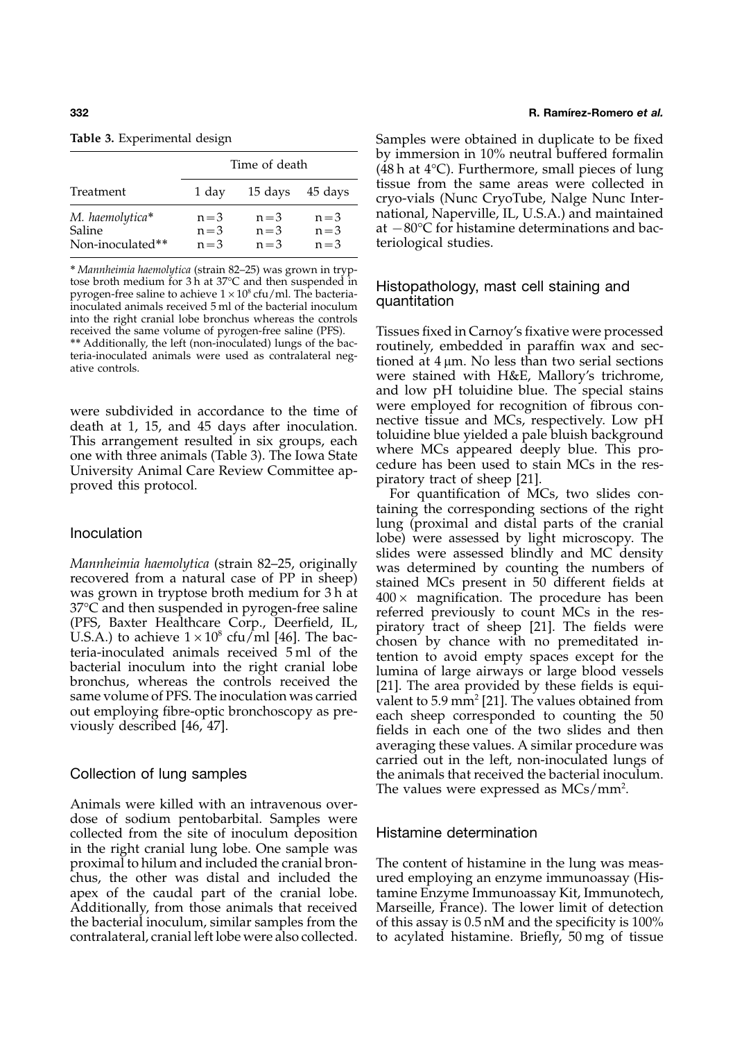| Table 3. Experimental design |  |
|------------------------------|--|
|------------------------------|--|

|                                                      | Time of death               |                               |                               |
|------------------------------------------------------|-----------------------------|-------------------------------|-------------------------------|
| Treatment                                            | 1 day                       | 15 days                       | 45 days                       |
| M. haemolytica*<br><b>Saline</b><br>Non-inoculated** | $n=3$<br>$n = 3$<br>$n = 3$ | $n = 3$<br>$n = 3$<br>$n = 3$ | $n = 3$<br>$n = 3$<br>$n = 3$ |

∗ *Mannheimia haemolytica* (strain 82–25) was grown in tryptose broth medium for 3 h at 37°C and then suspended in Histopathology, mast cell staining and pyrogen-free saline to achieve  $1 \times 10^8$  cfu/ml. The bacteria-<br>inoculated animals received 5 ml of the bacterial inoculum qua inoculated animals received 5 ml of the bacterial inoculum into the right cranial lobe bronchus whereas the controls

were subdivided in accordance to the time of<br>death at 1, 15, and 45 days after inoculation.<br>This arrangement resulted in six groups, each<br>one with three animals (Table 3). The Iowa State<br>University Animal Care Review Commi

Animals were killed with an intravenous overdose of sodium pentobarbital. Samples were collected from the site of inoculum deposition Histamine determination in the right cranial lung lobe. One sample was proximal to hilum and included the cranial bron- The content of histamine in the lung was measchus, the other was distal and included the ured employing an enzyme immunoassay (Hisapex of the caudal part of the cranial lobe. tamine Enzyme Immunoassay Kit, Immunotech, Additionally, from those animals that received Marseille, France). The lower limit of detection the bacterial inoculum, similar samples from the of this assay is  $0.5$  nM and the specificity is  $100\%$ contralateral, cranial left lobe were also collected. to acylated histamine. Briefly, 50 mg of tissue

### **332 R. Ramı´rez-Romero** *et al.*

**Table 3.** Samples were obtained in duplicate to be fixed by immersion in 10% neutral buffered formalin (48 h at 4°C). Furthermore, small pieces of lung tissue from the same areas were collected in cryo-vials (Nunc CryoTube, Nalge Nunc International, Naperville, IL, U.S.A.) and maintained at  $-80^{\circ}$ C for histamine determinations and bacteriological studies.

received the same volume of pyrogen-free saline (PFS). Tissues fixed in Carnoy's fixative were processed<br>\*\* Additionally, the left (non-inoculated) lungs of the bac-<br>teria-inoculated animals were used as contralateral negand low pH toluidine blue. The special stains

taining the corresponding sections of the right lung (proximal and distal parts of the cranial Inoculation lobe) were assessed by light microscopy. The slides were assessed blindly and MC density Mannheimia haemolytica (strain 82–25, originally<br>
recovered from a natural case of PP in sheep)<br>
was determined by counting the numbers of<br>
was grown in tryptose broth medium for 3 h at<br>
400 × magnification. The procedure averaging these values. A similar procedure was carried out in the left, non-inoculated lungs of Collection of lung samples the animals that received the bacterial inoculum. The values were expressed as MCs/mm<sup>2</sup>.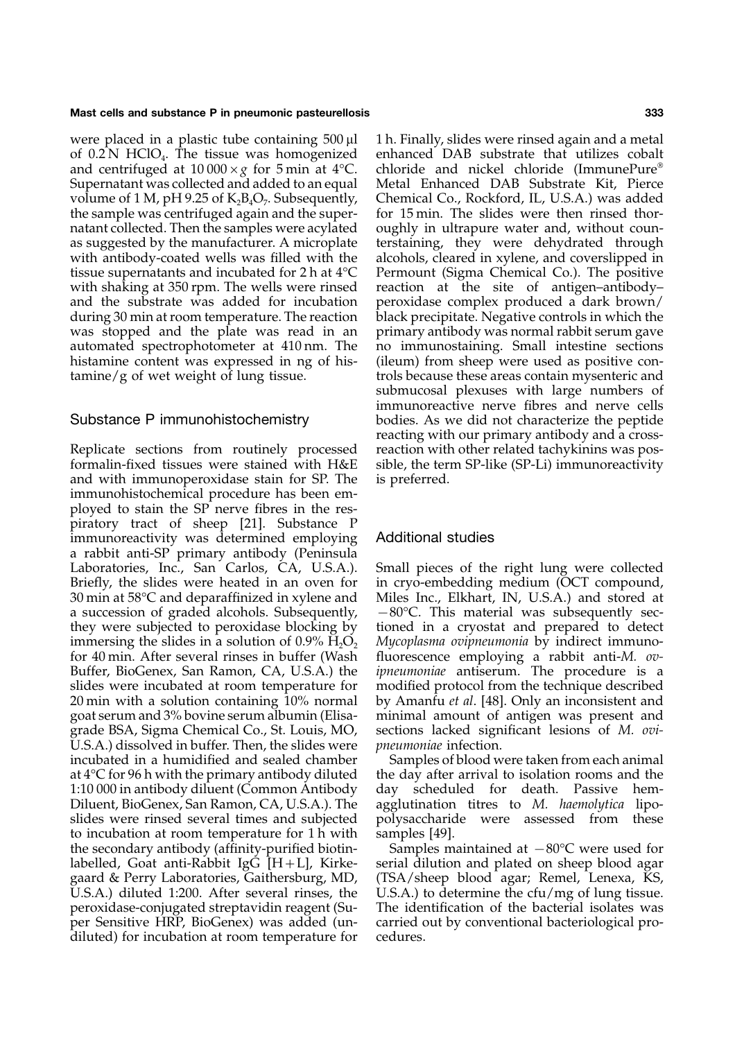were placed in a plastic tube containing  $500 \mu l$  1 h. Finally, slides were rinsed again and a metal of 0.2 N HClO<sub>4</sub>. The tissue was homogenized enhanced DAB substrate that utilizes cobalt and centrifuged at  $10\,000 \times g$  for 5 min at 4<sup>o</sup>C. chloride and nickel chloride (ImmunePure<sup>®</sup> Supernatant was collected and added to an equal volume of 1 M, pH 9.25 of  $K_2B_4O_7$ . Subsequently, volume of 1 M, pH 9.25 of  $K_2B_4O_7$ . Subsequently, Chemical Co., Rockford, IL, U.S.A.) was added the sample was centrifuged again and the super-<br>for 15 min. The slides were then rinsed thornatant collected. Then the samples were acylated oughly in ultrapure water and, without counas suggested by the manufacturer. A microplate terstaining, they were dehydrated through with antibody-coated wells was filled with the alcohols, cleared in xylene, and coverslipped in tissue supernatants and incubated for 2 h at 4°C Permount (Sigma Chemical Co.). The positive with shaking at 350 rpm. The wells were rinsed reaction at the site of antigen-antibodyand the substrate was added for incubation peroxidase complex produced a dark brown/ during 30 min at room temperature. The reaction black precipitate. Negative controls in which the was stopped and the plate was read in an primary antibody was normal rabbit serum gave automated spectrophotometer at 410 nm. The no immunostaining. Small intestine sections histamine content was expressed in ng of his- (ileum) from sheep were used as positive contamine/g of wet weight of lung tissue. trols because these areas contain mysenteric and

Replicate sections from routinely processed reaction with other related tachykinins was posformalin-fixed tissues were stained with H&E sible, the term SP-like (SP-Li) immunoreactivity and with immunoperoxidase stain for SP. The is preferred. immunohistochemical procedure has been employed to stain the SP nerve fibres in the respiratory tract of sheep [\[21\]](#page-9-0). Substance P immunoreactivity was determined employing Additional studies a rabbit anti-SP primary antibody (Peninsula Laboratories, Inc., San Carlos, CA, U.S.A.). Small pieces of the right lung were collected Briefly, the slides were heated in an oven for in cryo-embedding medium (OCT compound, 30 min at 58°C and deparaffinized in xylene and Miles Inc., Elkhart, IN, U.S.A.) and stored at a succession of graded alcohols. Subsequently,  $-80^{\circ}$ C. This material was subsequently secthey were subjected to peroxidase blocking by tioned in a cryostat and prepared to detect immersing the slides in a solution of  $0.9\%$   $\text{H}_2\text{O}_2$  *Mycoplasma ovipneumonia* by indirect immunofor 40 min. After several rinses in buffer (Wash fluorescence employing a rabbit anti-*M. ov-*Buffer, BioGenex, San Ramon, CA, U.S.A.) the *ipneumoniae* antiserum. The procedure is a slides were incubated at room temperature for modified protocol from the technique described 20 min with a solution containing 10% normal by Amanfu *et al*. [\[48\]](#page-10-0). Only an inconsistent and goat serum and 3% bovine serum albumin (Elisa- minimal amount of antigen was present and grade BSA, Sigma Chemical Co., St. Louis, MO, sections lacked significant lesions of *M. ovi-*U.S.A.) dissolved in buffer. Then, the slides were *pneumoniae* infection. incubated in a humidified and sealed chamber Samples of blood were taken from each animal at 4°C for 96 h with the primary antibody diluted the day after arrival to isolation rooms and the 1:10 000 in antibody diluent (Common Antibody day scheduled for death. Passive hem-Diluent, BioGenex, San Ramon, CA, U.S.A.). The agglutination titres to *M. haemolytica* liposlides were rinsed several times and subjected polysaccharide were assessed from these to incubation at room temperature for 1 h with samples [\[49](#page-10-0)]. the secondary antibody (affinity-purified biotin- Samples maintained at −80°C were used for labelled, Goat anti-Rabbit IgG  $[H+L]$ , Kirke- serial dilution and plated on sheep blood agar gaard & Perry Laboratories, Gaithersburg, MD, (TSA/sheep blood agar; Remel, Lenexa, KS, U.S.A.) diluted 1:200. After several rinses, the U.S.A.) to determine the cfu/mg of lung tissue. peroxidase-conjugated streptavidin reagent (Su- The identification of the bacterial isolates was per Sensitive HRP, BioGenex) was added (un- carried out by conventional bacteriological prodiluted) for incubation at room temperature for cedures.

chloride and nickel chloride (ImmunePure<sup>®</sup><br>Metal Enhanced DAB Substrate Kit. Pierce for 15 min. The slides were then rinsed thorreaction at the site of antigen–antibody– submucosal plexuses with large numbers of immunoreactive nerve fibres and nerve cells Substance P immunohistochemistry bodies. As we did not characterize the peptide reacting with our primary antibody and a cross-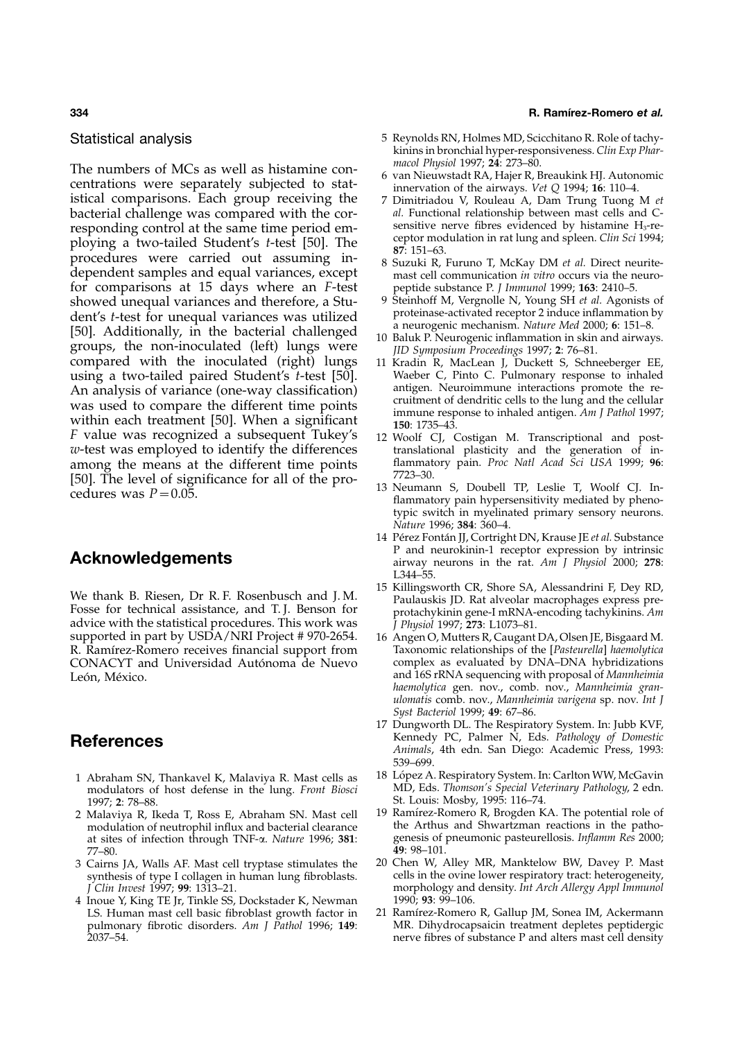The numbers of MCs as well as histamine con-<br>centrations were separately subjected to stat-<br>istical comparisons. Each group receiving the 7 Dimitriadou V, Rouleau A, Dam Trung Tuong M et bacterial challenge was compared with the cor-<br> *al.* Functional relationship between mast cells and C-<br>
responding control at the same time period em-<br>
sensitive nerve fibres evidenced by histamine H<sub>3</sub>-reresponding control at the same time period em-<br>ploying a two-tailed Student's *t*-test [\[50\]](#page-10-0). The eptor modulation in rat lung and spleen. *Clin Sci* 1994;<br>procedures were carried out assuming in-<br> $\frac{87:151-63}{8}$ . dependent samples and equal variances, except mast cell communication *in vitro* occurs via the neuro-<br>for comparisons at 15 days where an *F*-test peptide substance *P. J Immunol* 1999; **163**: 2410–5. for comparisons at 15 days where an *F*-test peptide substance P. *J Immunol* 1999; **163**: 2410–5. showed unequal variances and therefore, a Stu-<br>dent's t-test for unequal variances was utilized proteinase-activated receptor 2 induce inflammation by dent's *t*-test for unequal variances was utilized<br> [\[50\]](#page-10-0). Additionally, in the bacterial challenged<br>
groups, the non-inoculated (left) lungs were<br>
compared with the inoculated (right) lungs 11 Kradin R, MacLean J, Duckett using a two-tailed paired Student's *t*-test [\[50\]](#page-10-0). Waeber C, Pinto C. Pulmonary response to inhaled An analysis of variance (one-way classification) antigen. Neuroimmune interactions promote the re-<br>ruitment of dendritic cells to the lung and the cellular was used to compare the different time points<br>within each treatment [\[50\]](#page-10-0). When a significant<br>F value was recognized a subsequent Tukey's 12 Woolf CI. Costigan M. Transcriptional and post*w*-test was employed to identify the differences translational plasticity and the generation of in-<br>among the means at the different time points flammatory pain. *Proc Natl Acad Sci USA* 1999; **96**: among the means at the different time points flammator flammatory pain. **Process**  $P$ <sup>199</sup>; **Process**  $P$ <sup>199</sup>; **Process**  $P$ <sup>199</sup>; *Process*  $P$ <sup>199</sup>; *Process*  $P$ <sup>199</sup>; *Process*  $P$ <sup>199</sup>; *Process*  $P$ <sup>199</sup>; 7723–30. [\[50\]](#page-10-0). The level of significance for all of the pro- 13 Neumann S, Doubell TP, Leslie T, Woolf CJ. In- cedures was *<sup>P</sup>*=0.05. flammatory pain hypersensitivity mediated by pheno-

advice with the statistical procedures. This work was *J Physiol* 1997; 273: L1073–81.<br>supported in part by USDA/NRI Project # 970-2654. 16 Angen O, Mutters R, Caugant R. Ramı´rez-Romero receives financial support from Taxonomic relationships of the [*Pasteurella*] *haemolytica* CONACYT and Universidad Autónoma de Nuevo León, México. **and 16S rRNA** sequencing with proposal of *Mannheimia* 

- modulators of host defense in the lung. *Front Biosci* 1997; 2: 78-88.
- at sites of infection through TNF- $\alpha$ . *Nature* 1996; **381**: **genesis of**  $\frac{77-80}{49 \cdot 98-101}$ 77–80. **49**: 98–101.
- 
- 4 Inoue Y, King TE Jr, Tinkle SS, Dockstader K, Newman LS. Human mast cell basic fibroblast growth factor in

### <span id="page-9-0"></span>**334 R. Ramı´rez-Romero** *et al.*

- Statistical analysis **Statistical analysis** 5 Reynolds RN, Holmes MD, Scicchitano R. Role of tachykinins in bronchial hyper-responsiveness. *Clin Exp Phar-*
	-
	- istical comparisons. Each group receiving the 7 Dimitriadou V, Rouleau A, Dam Trung Tuong M *et*
	-
	-
	-
	- 11 Kradin R, MacLean J, Duckett S, Schneeberger EE, Waeber C, Pinto C. Pulmonary response to inhaled
	- 12 Woolf CJ, Costigan M. Transcriptional and post-
	- typic switch in myelinated primary sensory neurons. *Nature* 1996; **384**: 360–4.
- 14 Pérez Fontán II, Cortright DN, Krause IE *et al*. Substance P and neurokinin-1 receptor expression by intrinsic **Acknowledgements** airway neurons in the rat. *Am J Physiol* 2000; **<sup>278</sup>**: L344–55.<br>15 Killingsworth CR, Shore SA, Alessandrini F, Dey RD,
- We thank B. Riesen, Dr R. F. Rosenbusch and J. M. Paulauskis JD. Rat alveolar macrophages express pre-<br>Fosse for technical assistance, and T. J. Benson for protachykinin gene-I mRNA-encoding tachykinins. Am
	- 16 Angen O, Mutters R, Caugant DA, Olsen JE, Bisgaard M. *haemolytica* gen. nov., comb. nov., *Mannheimia granulomatis* comb. nov., *Mannheimia varigena* sp. nov. *Int J Syst Bacteriol* 1999; **49**: 67–86.
- 17 Dungworth DL. The Respiratory System. In: Jubb KVF, **References** Kennedy PC, Palmer N, Eds. *Pathology of Domestic Animals*, 4th edn. San Diego: Academic Press, 1993:
- 539–699.<br>18 López A. Respiratory System. In: Carlton WW, McGavin 1 Abraham SN, Thankavel K, Malaviya R. Mast cells as 18 López A. Respiratory System. In: Carlton WW, McGavin modulators of host defense in the lung. *Front Biosci* MD, Eds. *Thomson's Special Veterinary Pathology*, 2 edn. 5t. Louis: Mosby, 1995: 116–74.<br>19 Ramírez-Romero R, Brogden KA. The potential role of
- 2 Malaviya R, Ikeda T, Ross E, Abraham SN. Mast cell 19 Ramírez-Romero R, Brogden KA. The potential role of modulation of neutrophil influx and bacterial clearance the Arthus and Shwartzman reactions in the pathomodulation of neutrophil influx and bacterial clearance the Arthus and Shwartzman reactions in the patho-<br>at sites of infection through TNF- $\alpha$ . Nature 1996: 381: genesis of pneumonic pasteurellosis. Inflamm Res 2000;
- 3 Cairns JA, Walls AF. Mast cell tryptase stimulates the 20 Chen W, Alley MR, Manktelow BW, Davey P. Mast synthesis of type I collagen in human lung fibroblasts. cells in the ovine lower respiratory tract: heterogeneity,<br> *Clin Invest* 1997; 99: 1313–21. The overloogy and density. Int Arch Allergy Appl Immunol morphology and density. *Int Arch Allergy Appl Immunol* 1990; **93**: 99-106.
	- LS. Human mast cell basic fibroblast growth factor in 21 Ramírez-Romero R, Gallup JM, Sonea IM, Ackermann pulmonary fibrotic disorders. Am J Pathol 1996; 149: MR. Dihydrocapsaicin treatment depletes peptidergic MR. Dihydrocapsaicin treatment depletes peptidergic 2037–54. nerve fibres of substance P and alters mast cell density